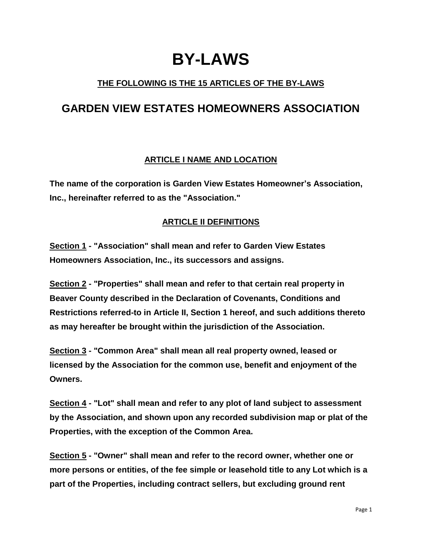# **BY-LAWS**

# **THE FOLLOWING IS THE 15 ARTICLES OF THE BY-LAWS**

# **GARDEN VIEW ESTATES HOMEOWNERS ASSOCIATION**

# **ARTICLE I NAME AND LOCATION**

**The name of the corporation is Garden View Estates Homeowner's Association, Inc., hereinafter referred to as the "Association."** 

# **ARTICLE II DEFINITIONS**

**Section 1 - "Association" shall mean and refer to Garden View Estates Homeowners Association, Inc., its successors and assigns.**

**Section 2 - "Properties" shall mean and refer to that certain real property in Beaver County described in the Declaration of Covenants, Conditions and Restrictions referred-to in Article II, Section 1 hereof, and such additions thereto as may hereafter be brought within the jurisdiction of the Association.**

**Section 3 - "Common Area" shall mean all real property owned, leased or licensed by the Association for the common use, benefit and enjoyment of the Owners.**

**Section 4 - "Lot" shall mean and refer to any plot of land subject to assessment by the Association, and shown upon any recorded subdivision map or plat of the Properties, with the exception of the Common Area.**

**Section 5 - "Owner" shall mean and refer to the record owner, whether one or more persons or entities, of the fee simple or leasehold title to any Lot which is a part of the Properties, including contract sellers, but excluding ground rent**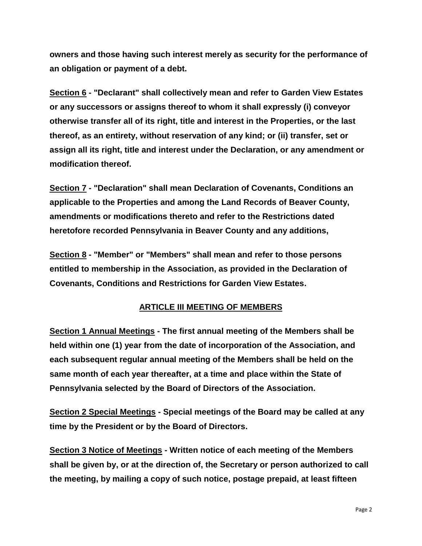**owners and those having such interest merely as security for the performance of an obligation or payment of a debt.**

**Section 6 - "Declarant" shall collectively mean and refer to Garden View Estates or any successors or assigns thereof to whom it shall expressly (i) conveyor otherwise transfer all of its right, title and interest in the Properties, or the last thereof, as an entirety, without reservation of any kind; or (ii) transfer, set or assign all its right, title and interest under the Declaration, or any amendment or modification thereof.**

**Section 7 - "Declaration" shall mean Declaration of Covenants, Conditions an applicable to the Properties and among the Land Records of Beaver County, amendments or modifications thereto and refer to the Restrictions dated heretofore recorded Pennsylvania in Beaver County and any additions,** 

**Section 8 - "Member" or "Members" shall mean and refer to those persons entitled to membership in the Association, as provided in the Declaration of Covenants, Conditions and Restrictions for Garden View Estates.**

#### **ARTICLE III MEETING OF MEMBERS**

**Section 1 Annual Meetings - The first annual meeting of the Members shall be held within one (1) year from the date of incorporation of the Association, and each subsequent regular annual meeting of the Members shall be held on the same month of each year thereafter, at a time and place within the State of Pennsylvania selected by the Board of Directors of the Association.** 

**Section 2 Special Meetings - Special meetings of the Board may be called at any time by the President or by the Board of Directors.**

**Section 3 Notice of Meetings - Written notice of each meeting of the Members shall be given by, or at the direction of, the Secretary or person authorized to call the meeting, by mailing a copy of such notice, postage prepaid, at least fifteen**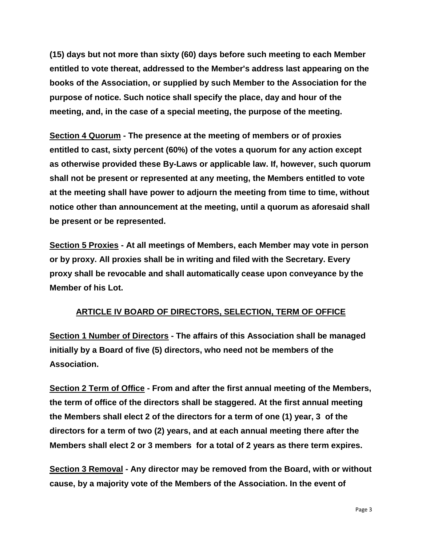**(15) days but not more than sixty (60) days before such meeting to each Member entitled to vote thereat, addressed to the Member's address last appearing on the books of the Association, or supplied by such Member to the Association for the purpose of notice. Such notice shall specify the place, day and hour of the meeting, and, in the case of a special meeting, the purpose of the meeting.**

**Section 4 Quorum - The presence at the meeting of members or of proxies entitled to cast, sixty percent (60%) of the votes a quorum for any action except as otherwise provided these By-Laws or applicable law. If, however, such quorum shall not be present or represented at any meeting, the Members entitled to vote at the meeting shall have power to adjourn the meeting from time to time, without notice other than announcement at the meeting, until a quorum as aforesaid shall be present or be represented.**

**Section 5 Proxies - At all meetings of Members, each Member may vote in person or by proxy. All proxies shall be in writing and filed with the Secretary. Every proxy shall be revocable and shall automatically cease upon conveyance by the Member of his Lot.**

# **ARTICLE IV BOARD OF DIRECTORS, SELECTION, TERM OF OFFICE**

**Section 1 Number of Directors - The affairs of this Association shall be managed initially by a Board of five (5) directors, who need not be members of the Association.** 

**Section 2 Term of Office - From and after the first annual meeting of the Members, the term of office of the directors shall be staggered. At the first annual meeting the Members shall elect 2 of the directors for a term of one (1) year, 3 of the directors for a term of two (2) years, and at each annual meeting there after the Members shall elect 2 or 3 members for a total of 2 years as there term expires.**

**Section 3 Removal - Any director may be removed from the Board, with or without cause, by a majority vote of the Members of the Association. In the event of**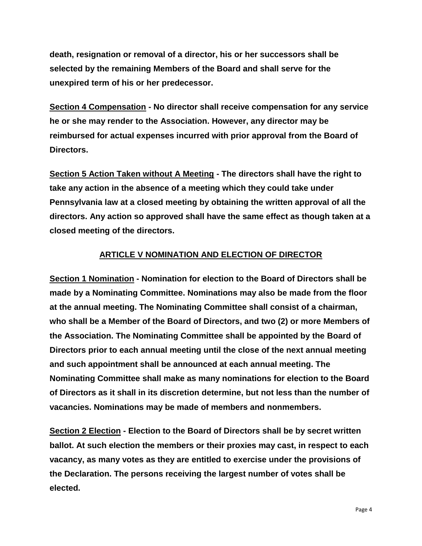**death, resignation or removal of a director, his or her successors shall be selected by the remaining Members of the Board and shall serve for the unexpired term of his or her predecessor.**

**Section 4 Compensation - No director shall receive compensation for any service he or she may render to the Association. However, any director may be reimbursed for actual expenses incurred with prior approval from the Board of Directors.**

**Section 5 Action Taken without A Meeting - The directors shall have the right to take any action in the absence of a meeting which they could take under Pennsylvania law at a closed meeting by obtaining the written approval of all the directors. Any action so approved shall have the same effect as though taken at a closed meeting of the directors.**

# **ARTICLE V NOMINATION AND ELECTION OF DIRECTOR**

**Section 1 Nomination - Nomination for election to the Board of Directors shall be made by a Nominating Committee. Nominations may also be made from the floor at the annual meeting. The Nominating Committee shall consist of a chairman, who shall be a Member of the Board of Directors, and two (2) or more Members of the Association. The Nominating Committee shall be appointed by the Board of Directors prior to each annual meeting until the close of the next annual meeting and such appointment shall be announced at each annual meeting. The Nominating Committee shall make as many nominations for election to the Board of Directors as it shall in its discretion determine, but not less than the number of vacancies. Nominations may be made of members and nonmembers.**

**Section 2 Election - Election to the Board of Directors shall be by secret written ballot. At such election the members or their proxies may cast, in respect to each vacancy, as many votes as they are entitled to exercise under the provisions of the Declaration. The persons receiving the largest number of votes shall be elected.**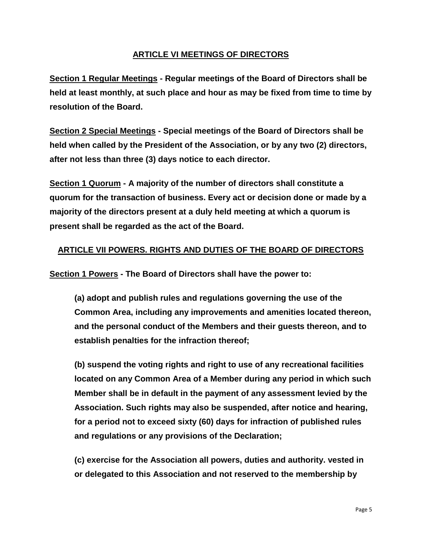#### **ARTICLE VI MEETINGS OF DIRECTORS**

**Section 1 Regular Meetings - Regular meetings of the Board of Directors shall be held at least monthly, at such place and hour as may be fixed from time to time by resolution of the Board.** 

**Section 2 Special Meetings - Special meetings of the Board of Directors shall be held when called by the President of the Association, or by any two (2) directors, after not less than three (3) days notice to each director.** 

**Section 1 Quorum - A majority of the number of directors shall constitute a quorum for the transaction of business. Every act or decision done or made by a majority of the directors present at a duly held meeting at which a quorum is present shall be regarded as the act of the Board.**

# **ARTICLE VII POWERS. RIGHTS AND DUTIES OF THE BOARD OF DIRECTORS**

**Section 1 Powers - The Board of Directors shall have the power to:**

**(a) adopt and publish rules and regulations governing the use of the Common Area, including any improvements and amenities located thereon, and the personal conduct of the Members and their guests thereon, and to establish penalties for the infraction thereof;**

**(b) suspend the voting rights and right to use of any recreational facilities located on any Common Area of a Member during any period in which such Member shall be in default in the payment of any assessment levied by the Association. Such rights may also be suspended, after notice and hearing, for a period not to exceed sixty (60) days for infraction of published rules and regulations or any provisions of the Declaration;**

**(c) exercise for the Association all powers, duties and authority. vested in or delegated to this Association and not reserved to the membership by**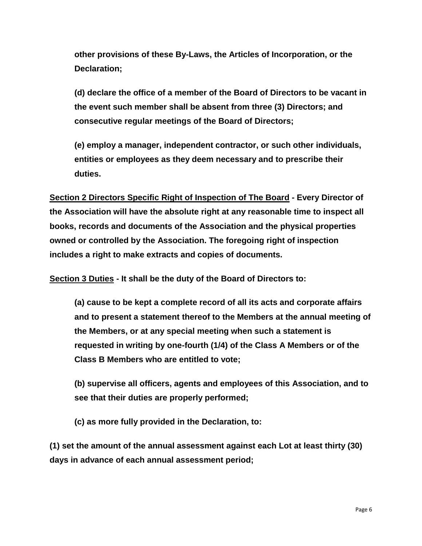**other provisions of these By-Laws, the Articles of Incorporation, or the Declaration;**

**(d) declare the office of a member of the Board of Directors to be vacant in the event such member shall be absent from three (3) Directors; and consecutive regular meetings of the Board of Directors;**

**(e) employ a manager, independent contractor, or such other individuals, entities or employees as they deem necessary and to prescribe their duties.**

**Section 2 Directors Specific Right of Inspection of The Board - Every Director of the Association will have the absolute right at any reasonable time to inspect all books, records and documents of the Association and the physical properties owned or controlled by the Association. The foregoing right of inspection includes a right to make extracts and copies of documents.**

**Section 3 Duties - It shall be the duty of the Board of Directors to:**

**(a) cause to be kept a complete record of all its acts and corporate affairs and to present a statement thereof to the Members at the annual meeting of the Members, or at any special meeting when such a statement is requested in writing by one-fourth (1/4) of the Class A Members or of the Class B Members who are entitled to vote;**

**(b) supervise all officers, agents and employees of this Association, and to see that their duties are properly performed;**

**(c) as more fully provided in the Declaration, to:**

**(1) set the amount of the annual assessment against each Lot at least thirty (30) days in advance of each annual assessment period;**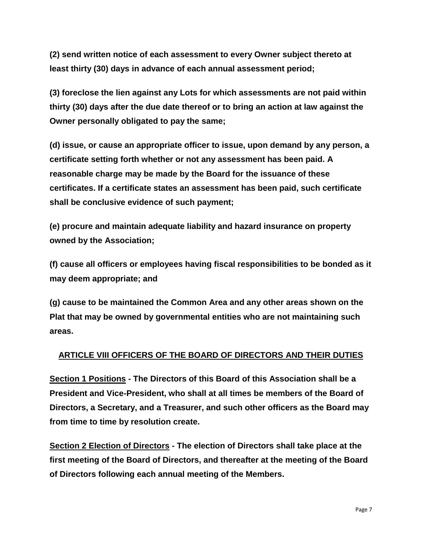**(2) send written notice of each assessment to every Owner subject thereto at least thirty (30) days in advance of each annual assessment period;**

**(3) foreclose the lien against any Lots for which assessments are not paid within thirty (30) days after the due date thereof or to bring an action at law against the Owner personally obligated to pay the same;**

**(d) issue, or cause an appropriate officer to issue, upon demand by any person, a certificate setting forth whether or not any assessment has been paid. A reasonable charge may be made by the Board for the issuance of these certificates. If a certificate states an assessment has been paid, such certificate shall be conclusive evidence of such payment;**

**(e) procure and maintain adequate liability and hazard insurance on property owned by the Association;** 

**(f) cause all officers or employees having fiscal responsibilities to be bonded as it may deem appropriate; and** 

**(g) cause to be maintained the Common Area and any other areas shown on the Plat that may be owned by governmental entities who are not maintaining such areas.**

# **ARTICLE VIII OFFICERS OF THE BOARD OF DIRECTORS AND THEIR DUTIES**

**Section 1 Positions - The Directors of this Board of this Association shall be a President and Vice-President, who shall at all times be members of the Board of Directors, a Secretary, and a Treasurer, and such other officers as the Board may from time to time by resolution create.**

**Section 2 Election of Directors - The election of Directors shall take place at the first meeting of the Board of Directors, and thereafter at the meeting of the Board of Directors following each annual meeting of the Members.**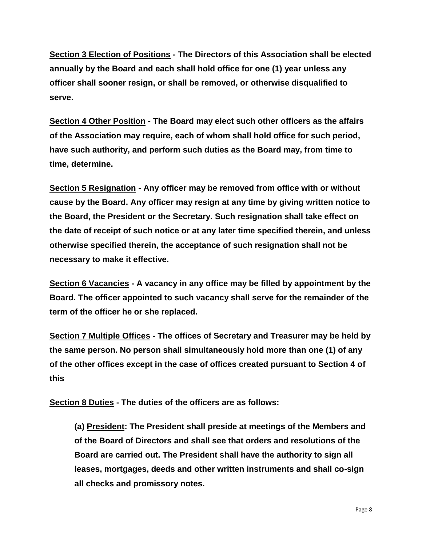**Section 3 Election of Positions - The Directors of this Association shall be elected annually by the Board and each shall hold office for one (1) year unless any officer shall sooner resign, or shall be removed, or otherwise disqualified to serve.**

**Section 4 Other Position - The Board may elect such other officers as the affairs of the Association may require, each of whom shall hold office for such period, have such authority, and perform such duties as the Board may, from time to time, determine.**

**Section 5 Resignation - Any officer may be removed from office with or without cause by the Board. Any officer may resign at any time by giving written notice to the Board, the President or the Secretary. Such resignation shall take effect on the date of receipt of such notice or at any later time specified therein, and unless otherwise specified therein, the acceptance of such resignation shall not be necessary to make it effective.**

**Section 6 Vacancies - A vacancy in any office may be filled by appointment by the Board. The officer appointed to such vacancy shall serve for the remainder of the term of the officer he or she replaced.**

**Section 7 Multiple Offices - The offices of Secretary and Treasurer may be held by the same person. No person shall simultaneously hold more than one (1) of any of the other offices except in the case of offices created pursuant to Section 4 of this**

**Section 8 Duties - The duties of the officers are as follows:**

**(a) President: The President shall preside at meetings of the Members and of the Board of Directors and shall see that orders and resolutions of the Board are carried out. The President shall have the authority to sign all leases, mortgages, deeds and other written instruments and shall co-sign all checks and promissory notes.**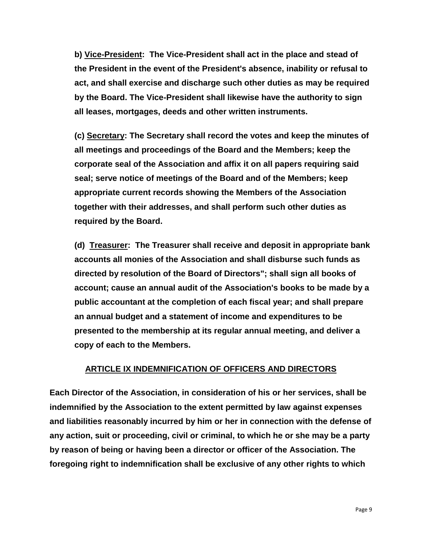**b) Vice-President: The Vice-President shall act in the place and stead of the President in the event of the President's absence, inability or refusal to act, and shall exercise and discharge such other duties as may be required by the Board. The Vice-President shall likewise have the authority to sign all leases, mortgages, deeds and other written instruments.**

**(c) Secretary: The Secretary shall record the votes and keep the minutes of all meetings and proceedings of the Board and the Members; keep the corporate seal of the Association and affix it on all papers requiring said seal; serve notice of meetings of the Board and of the Members; keep appropriate current records showing the Members of the Association together with their addresses, and shall perform such other duties as required by the Board.**

**(d) Treasurer: The Treasurer shall receive and deposit in appropriate bank accounts all monies of the Association and shall disburse such funds as directed by resolution of the Board of Directors"; shall sign all books of account; cause an annual audit of the Association's books to be made by a public accountant at the completion of each fiscal year; and shall prepare an annual budget and a statement of income and expenditures to be presented to the membership at its regular annual meeting, and deliver a copy of each to the Members.**

#### **ARTICLE IX INDEMNIFICATION OF OFFICERS AND DIRECTORS**

**Each Director of the Association, in consideration of his or her services, shall be indemnified by the Association to the extent permitted by law against expenses and liabilities reasonably incurred by him or her in connection with the defense of any action, suit or proceeding, civil or criminal, to which he or she may be a party by reason of being or having been a director or officer of the Association. The foregoing right to indemnification shall be exclusive of any other rights to which**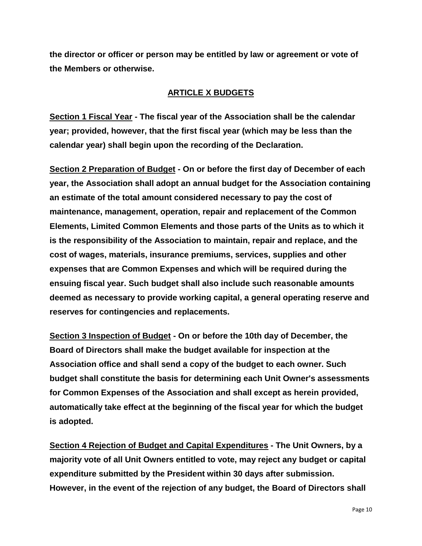**the director or officer or person may be entitled by law or agreement or vote of the Members or otherwise.**

#### **ARTICLE X BUDGETS**

**Section 1 Fiscal Year - The fiscal year of the Association shall be the calendar year; provided, however, that the first fiscal year (which may be less than the calendar year) shall begin upon the recording of the Declaration.** 

**Section 2 Preparation of Budget - On or before the first day of December of each year, the Association shall adopt an annual budget for the Association containing an estimate of the total amount considered necessary to pay the cost of maintenance, management, operation, repair and replacement of the Common Elements, Limited Common Elements and those parts of the Units as to which it is the responsibility of the Association to maintain, repair and replace, and the cost of wages, materials, insurance premiums, services, supplies and other expenses that are Common Expenses and which will be required during the ensuing fiscal year. Such budget shall also include such reasonable amounts deemed as necessary to provide working capital, a general operating reserve and reserves for contingencies and replacements.** 

**Section 3 Inspection of Budget - On or before the 10th day of December, the Board of Directors shall make the budget available for inspection at the Association office and shall send a copy of the budget to each owner. Such budget shall constitute the basis for determining each Unit Owner's assessments for Common Expenses of the Association and shall except as herein provided, automatically take effect at the beginning of the fiscal year for which the budget is adopted.** 

**Section 4 Rejection of Budget and Capital Expenditures - The Unit Owners, by a majority vote of all Unit Owners entitled to vote, may reject any budget or capital expenditure submitted by the President within 30 days after submission. However, in the event of the rejection of any budget, the Board of Directors shall**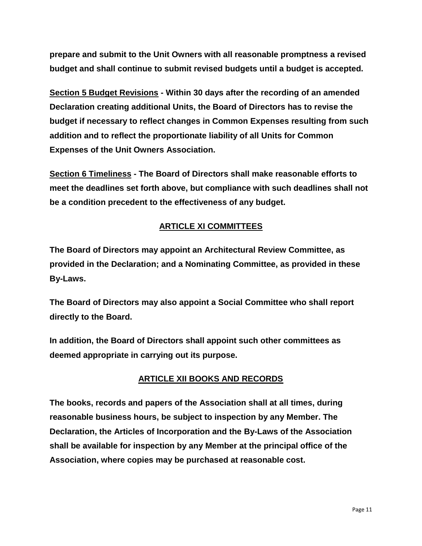**prepare and submit to the Unit Owners with all reasonable promptness a revised budget and shall continue to submit revised budgets until a budget is accepted.** 

**Section 5 Budget Revisions - Within 30 days after the recording of an amended Declaration creating additional Units, the Board of Directors has to revise the budget if necessary to reflect changes in Common Expenses resulting from such addition and to reflect the proportionate liability of all Units for Common Expenses of the Unit Owners Association.** 

**Section 6 Timeliness - The Board of Directors shall make reasonable efforts to meet the deadlines set forth above, but compliance with such deadlines shall not be a condition precedent to the effectiveness of any budget.**

# **ARTICLE XI COMMITTEES**

**The Board of Directors may appoint an Architectural Review Committee, as provided in the Declaration; and a Nominating Committee, as provided in these By-Laws.** 

**The Board of Directors may also appoint a Social Committee who shall report directly to the Board.**

**In addition, the Board of Directors shall appoint such other committees as deemed appropriate in carrying out its purpose.**

# **ARTICLE XII BOOKS AND RECORDS**

**The books, records and papers of the Association shall at all times, during reasonable business hours, be subject to inspection by any Member. The Declaration, the Articles of Incorporation and the By-Laws of the Association shall be available for inspection by any Member at the principal office of the Association, where copies may be purchased at reasonable cost.**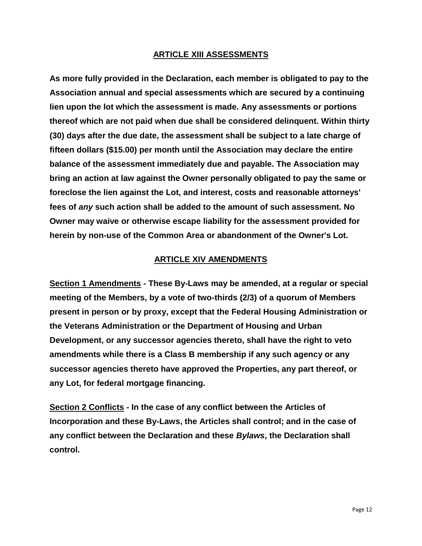#### **ARTICLE XIII ASSESSMENTS**

**As more fully provided in the Declaration, each member is obligated to pay to the Association annual and special assessments which are secured by a continuing lien upon the lot which the assessment is made. Any assessments or portions thereof which are not paid when due shall be considered delinquent. Within thirty (30) days after the due date, the assessment shall be subject to a late charge of fifteen dollars (\$15.00) per month until the Association may declare the entire balance of the assessment immediately due and payable. The Association may bring an action at law against the Owner personally obligated to pay the same or foreclose the lien against the Lot, and interest, costs and reasonable attorneys' fees of** *any* **such action shall be added to the amount of such assessment. No Owner may waive or otherwise escape liability for the assessment provided for herein by non-use of the Common Area or abandonment of the Owner's Lot.**

#### **ARTICLE XIV AMENDMENTS**

**Section 1 Amendments - These By-Laws may be amended, at a regular or special meeting of the Members, by a vote of two-thirds (2/3) of a quorum of Members present in person or by proxy, except that the Federal Housing Administration or the Veterans Administration or the Department of Housing and Urban Development, or any successor agencies thereto, shall have the right to veto amendments while there is a Class B membership if any such agency or any successor agencies thereto have approved the Properties, any part thereof, or any Lot, for federal mortgage financing.** 

**Section 2 Conflicts - In the case of any conflict between the Articles of Incorporation and these By-Laws, the Articles shall control; and in the case of any conflict between the Declaration and these** *Bylaws***, the Declaration shall control.**